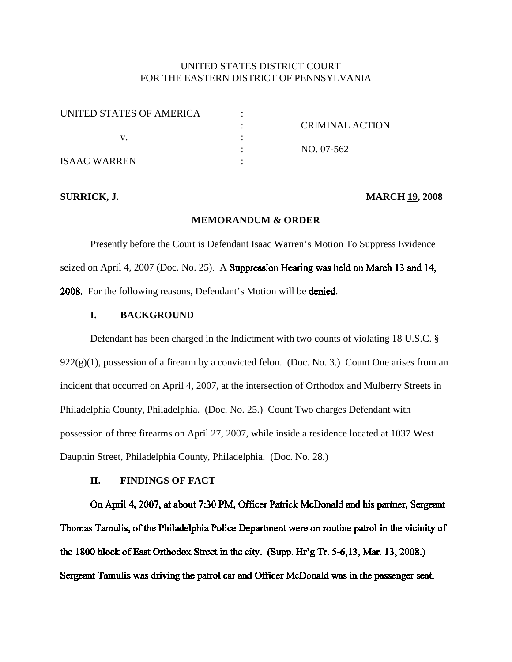# UNITED STATES DISTRICT COURT FOR THE EASTERN DISTRICT OF PENNSYLVANIA

| UNITED STATES OF AMERICA |                        |
|--------------------------|------------------------|
|                          | <b>CRIMINAL ACTION</b> |
|                          |                        |
|                          | NO. 07-562             |
| <b>ISAAC WARREN</b>      |                        |

#### **SURRICK, J. MARCH 19, 2008**

#### **MEMORANDUM & ORDER**

Presently before the Court is Defendant Isaac Warren's Motion To Suppress Evidence seized on April 4, 2007 (Doc. No. 25). A Suppression Hearing was held on March 13 and 14, 2008. For the following reasons, Defendant's Motion will be denied.

## **I. BACKGROUND**

Defendant has been charged in the Indictment with two counts of violating 18 U.S.C. §  $922(g)(1)$ , possession of a firearm by a convicted felon. (Doc. No. 3.) Count One arises from an incident that occurred on April 4, 2007, at the intersection of Orthodox and Mulberry Streets in Philadelphia County, Philadelphia. (Doc. No. 25.) Count Two charges Defendant with possession of three firearms on April 27, 2007, while inside a residence located at 1037 West Dauphin Street, Philadelphia County, Philadelphia. (Doc. No. 28.)

# **II. FINDINGS OF FACT**

On April 4, 2007, at about 7:30 PM, Officer Patrick McDonald and his partner, Sergeant Thomas Tamulis, of the Philadelphia Police Department were on routine patrol in the vicinity of the 1800 block of East Orthodox Street in the city. (Supp. Hr'g Tr. 5-6,13, Mar. 13, 2008.) Sergeant Tamulis was driving the patrol car and Officer McDonald was in the passenger seat.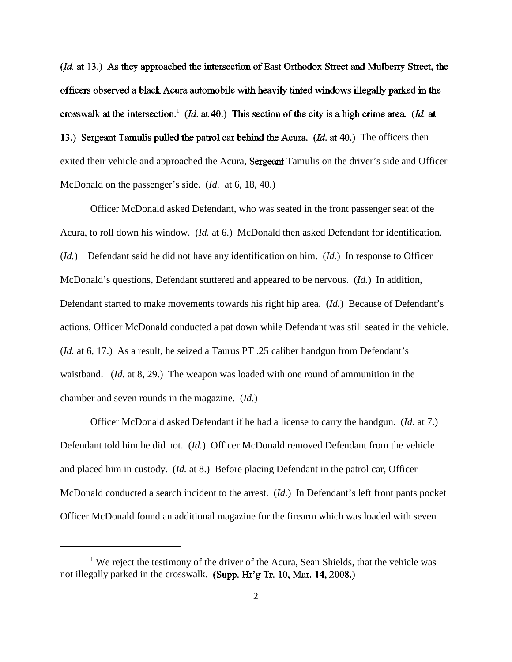(*Id.* at 13.) As they approached the intersection of East Orthodox Street and Mulberry Street, the officers observed a black Acura automobile with heavily tinted windows illegally parked in the crosswalk at the intersection.<sup>1</sup> (*Id.* at 40.) This section of the city is a high crime area. (*Id.* at 13.) Sergeant Tamulis pulled the patrol car behind the Acura. ( $Id$ . at 40.) The officers then exited their vehicle and approached the Acura, Sergeant Tamulis on the driver's side and Officer McDonald on the passenger's side. (*Id.* at 6, 18, 40.)

Officer McDonald asked Defendant, who was seated in the front passenger seat of the Acura, to roll down his window. (*Id.* at 6.) McDonald then asked Defendant for identification. (*Id.*) Defendant said he did not have any identification on him. (*Id.*) In response to Officer McDonald's questions, Defendant stuttered and appeared to be nervous. (*Id.*) In addition, Defendant started to make movements towards his right hip area. (*Id.*) Because of Defendant's actions, Officer McDonald conducted a pat down while Defendant was still seated in the vehicle. (*Id.* at 6, 17.) As a result, he seized a Taurus PT .25 caliber handgun from Defendant's waistband. (*Id.* at 8, 29.) The weapon was loaded with one round of ammunition in the chamber and seven rounds in the magazine. (*Id.*)

Officer McDonald asked Defendant if he had a license to carry the handgun. (*Id.* at 7.) Defendant told him he did not. (*Id.*) Officer McDonald removed Defendant from the vehicle and placed him in custody. (*Id.* at 8.) Before placing Defendant in the patrol car, Officer McDonald conducted a search incident to the arrest. (*Id.*) In Defendant's left front pants pocket Officer McDonald found an additional magazine for the firearm which was loaded with seven

<sup>&</sup>lt;sup>1</sup> We reject the testimony of the driver of the Acura, Sean Shields, that the vehicle was not illegally parked in the crosswalk. (Supp. Hr'g Tr. 10, Mar. 14, 2008.)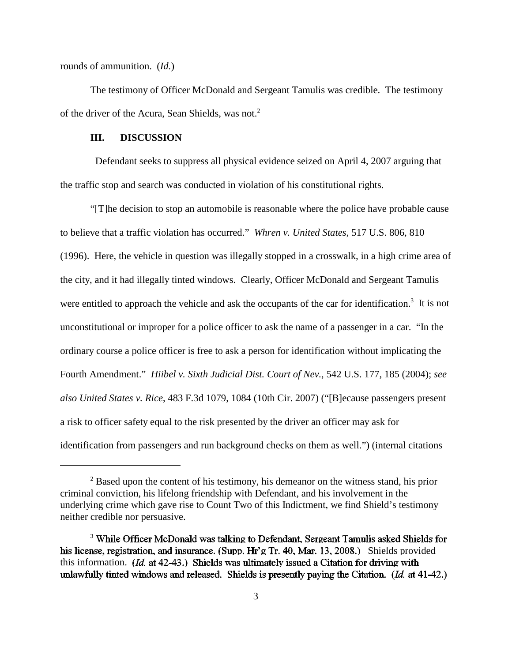rounds of ammunition. (*Id.*)

The testimony of Officer McDonald and Sergeant Tamulis was credible. The testimony of the driver of the Acura, Sean Shields, was not. 2

#### **III. DISCUSSION**

Defendant seeks to suppress all physical evidence seized on April 4, 2007 arguing that the traffic stop and search was conducted in violation of his constitutional rights.

"[T]he decision to stop an automobile is reasonable where the police have probable cause to believe that a traffic violation has occurred." *Whren v. United States,* 517 U.S. 806, 810 (1996). Here, the vehicle in question was illegally stopped in a crosswalk, in a high crime area of the city, and it had illegally tinted windows. Clearly, Officer McDonald and Sergeant Tamulis were entitled to approach the vehicle and ask the occupants of the car for identification.<sup>3</sup> It is not unconstitutional or improper for a police officer to ask the name of a passenger in a car. "In the ordinary course a police officer is free to ask a person for identification without implicating the Fourth Amendment." *Hiibel v. Sixth Judicial Dist. Court of Nev.*, 542 U.S. 177, 185 (2004); *see also United States v. Rice*, 483 F.3d 1079, 1084 (10th Cir. 2007) ("[B]ecause passengers present a risk to officer safety equal to the risk presented by the driver an officer may ask for identification from passengers and run background checks on them as well.") (internal citations

 $2^2$  Based upon the content of his testimony, his demeanor on the witness stand, his prior criminal conviction, his lifelong friendship with Defendant, and his involvement in the underlying crime which gave rise to Count Two of this Indictment, we find Shield's testimony neither credible nor persuasive.

<sup>&</sup>lt;sup>3</sup> While Officer McDonald was talking to Defendant, Sergeant Tamulis asked Shields for his license, registration, and insurance. (Supp. Hr'g Tr. 40, Mar. 13, 2008.) Shields provided this information. (*Id.* at 42-43.) Shields was ultimately issued a Citation for driving with unlawfully tinted windows and released. Shields is presently paying the Citation. (Id. at 41-42.)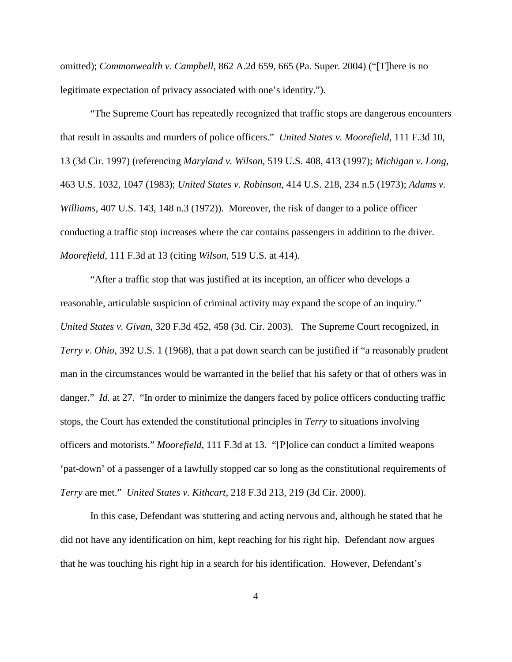omitted); *Commonwealth v. Campbell*, 862 A.2d 659, 665 (Pa. Super. 2004) ("[T]here is no legitimate expectation of privacy associated with one's identity.").

"The Supreme Court has repeatedly recognized that traffic stops are dangerous encounters that result in assaults and murders of police officers." *United States v. Moorefield,* 111 F.3d 10, 13 (3d Cir. 1997) (referencing *Maryland v. Wilson*, 519 U.S. 408, 413 (1997); *Michigan v. Long*, 463 U.S. 1032, 1047 (1983); *United States v. Robinson*, 414 U.S. 218, 234 n.5 (1973); *Adams v. Williams*, 407 U.S. 143, 148 n.3 (1972)). Moreover, the risk of danger to a police officer conducting a traffic stop increases where the car contains passengers in addition to the driver. *Moorefield,* 111 F.3d at 13 (citing *Wilson*, 519 U.S. at 414).

"After a traffic stop that was justified at its inception, an officer who develops a reasonable, articulable suspicion of criminal activity may expand the scope of an inquiry." *United States v. Givan*, 320 F.3d 452, 458 (3d. Cir. 2003). The Supreme Court recognized, in *Terry v. Ohio*, 392 U.S. 1 (1968), that a pat down search can be justified if "a reasonably prudent man in the circumstances would be warranted in the belief that his safety or that of others was in danger." *Id.* at 27. "In order to minimize the dangers faced by police officers conducting traffic stops, the Court has extended the constitutional principles in *Terry* to situations involving officers and motorists." *Moorefield*, 111 F.3d at 13. "[P]olice can conduct a limited weapons 'pat-down' of a passenger of a lawfully stopped car so long as the constitutional requirements of *Terry* are met." *United States v. Kithcart*, 218 F.3d 213, 219 (3d Cir. 2000).

In this case, Defendant was stuttering and acting nervous and, although he stated that he did not have any identification on him, kept reaching for his right hip. Defendant now argues that he was touching his right hip in a search for his identification. However, Defendant's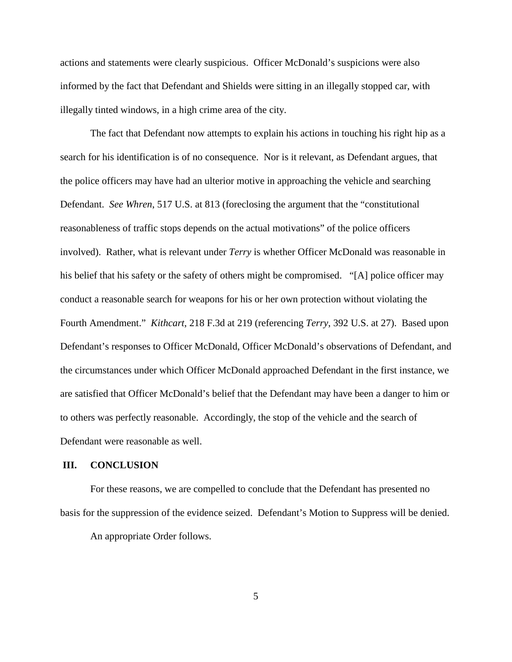actions and statements were clearly suspicious. Officer McDonald's suspicions were also informed by the fact that Defendant and Shields were sitting in an illegally stopped car, with illegally tinted windows, in a high crime area of the city.

The fact that Defendant now attempts to explain his actions in touching his right hip as a search for his identification is of no consequence. Nor is it relevant, as Defendant argues, that the police officers may have had an ulterior motive in approaching the vehicle and searching Defendant. *See Whren*, 517 U.S. at 813 (foreclosing the argument that the "constitutional reasonableness of traffic stops depends on the actual motivations" of the police officers involved). Rather, what is relevant under *Terry* is whether Officer McDonald was reasonable in his belief that his safety or the safety of others might be compromised. "[A] police officer may conduct a reasonable search for weapons for his or her own protection without violating the Fourth Amendment." *Kithcart*, 218 F.3d at 219 (referencing *Terry*, 392 U.S. at 27). Based upon Defendant's responses to Officer McDonald, Officer McDonald's observations of Defendant, and the circumstances under which Officer McDonald approached Defendant in the first instance, we are satisfied that Officer McDonald's belief that the Defendant may have been a danger to him or to others was perfectly reasonable. Accordingly, the stop of the vehicle and the search of Defendant were reasonable as well.

#### **III. CONCLUSION**

For these reasons, we are compelled to conclude that the Defendant has presented no basis for the suppression of the evidence seized. Defendant's Motion to Suppress will be denied. An appropriate Order follows.

5